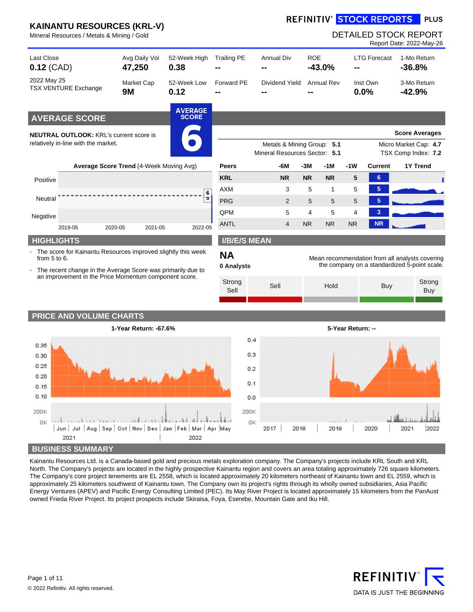#### **REFINITIV<sup>®</sup> STOCK REPORTS PLUS**

| Mineral Resources / Metals & Mining / Gold                                            |  |                                                                                                                               |                                |                         |                                                             |            |                   |                   |                     | <b>DETAILED STOCK REPORT</b><br>Report Date: 2022-May-26                                       |
|---------------------------------------------------------------------------------------|--|-------------------------------------------------------------------------------------------------------------------------------|--------------------------------|-------------------------|-------------------------------------------------------------|------------|-------------------|-------------------|---------------------|------------------------------------------------------------------------------------------------|
| <b>Last Close</b><br>$0.12$ (CAD)                                                     |  | Avg Daily Vol<br>47,250                                                                                                       | 52-Week High<br>0.38           | <b>Trailing PE</b>      | <b>Annual Div</b>                                           | <b>ROE</b> | $-43.0%$          |                   | <b>LTG Forecast</b> | 1-Mo Return<br>$-36.8%$                                                                        |
| 2022 May 25<br><b>TSX VENTURE Exchange</b>                                            |  | Market Cap<br><b>9M</b>                                                                                                       | 52-Week Low<br>0.12            | Forward PE              | Dividend Yield                                              |            | <b>Annual Rev</b> |                   | Inst Own<br>0.0%    | 3-Mo Return<br>$-42.9%$                                                                        |
| <b>AVERAGE SCORE</b>                                                                  |  |                                                                                                                               | <b>AVERAGE</b><br><b>SCORE</b> |                         |                                                             |            |                   |                   |                     |                                                                                                |
| <b>NEUTRAL OUTLOOK: KRL's current score is</b><br>relatively in-line with the market. |  |                                                                                                                               |                                |                         | Metals & Mining Group: 5.1<br>Mineral Resources Sector: 5.1 |            |                   |                   |                     | <b>Score Averages</b><br>Micro Market Cap: 4.7<br>TSX Comp Index: 7.2                          |
|                                                                                       |  | Average Score Trend (4-Week Moving Avg)                                                                                       |                                | <b>Peers</b>            | -6M                                                         | $-3M$      | $-1M$             | $-1W$             | <b>Current</b>      | 1Y Trend                                                                                       |
| Positive                                                                              |  |                                                                                                                               |                                | <b>KRL</b>              | <b>NR</b>                                                   | <b>NR</b>  | <b>NR</b>         | 5                 | $6\phantom{1}$      |                                                                                                |
|                                                                                       |  |                                                                                                                               | 6                              | <b>AXM</b>              | 3                                                           | 5          | 1                 | 5                 | 5                   |                                                                                                |
| Neutral                                                                               |  |                                                                                                                               | ъ                              | <b>PRG</b>              | 2                                                           | 5          | 5                 | 5                 | 5                   |                                                                                                |
| Negative                                                                              |  |                                                                                                                               |                                | <b>OPM</b>              | 5                                                           | 4          | 5                 | 4                 | 3                   |                                                                                                |
| 2019-05                                                                               |  | 2021-05<br>2020-05                                                                                                            | 2022-05                        | <b>ANTL</b>             | $\overline{4}$                                              | <b>NR</b>  | <b>NR</b>         | <b>NR</b>         | <b>NR</b>           |                                                                                                |
| <b>HIGHLIGHTS</b>                                                                     |  |                                                                                                                               |                                | <b>I/B/E/S MEAN</b>     |                                                             |            |                   |                   |                     |                                                                                                |
| from 5 to 6.                                                                          |  | The score for Kainantu Resources improved slightly this week<br>- The recent change in the Average Score was primarily due to |                                | <b>NA</b><br>0 Analysts |                                                             |            |                   |                   |                     | Mean recommendation from all analysts covering<br>the company on a standardized 5-point scale. |
| an improvement in the Price Momentum component score.                                 |  | Strong<br>Sell                                                                                                                | Sell                           | Hold                    |                                                             |            | Buy               | Strong<br>Buy     |                     |                                                                                                |
|                                                                                       |  |                                                                                                                               |                                |                         |                                                             |            |                   |                   |                     |                                                                                                |
| <b>PRICE AND VOLUME CHARTS</b>                                                        |  | 1-Year Return: -67.6%                                                                                                         |                                |                         |                                                             |            |                   | 5-Year Return: -- |                     |                                                                                                |
| 0.35<br>. .                                                                           |  |                                                                                                                               |                                | 0.4                     |                                                             |            |                   |                   |                     | - 14                                                                                           |



Kainantu Resources Ltd. is a Canada-based gold and precious metals exploration company. The Company's projects include KRL South and KRL North. The Company's projects are located in the highly prospective Kainantu region and covers an area totaling approximately 726 square kilometers. The Company's core project tenements are EL 2558, which is located approximately 20 kilometers northeast of Kainantu town and EL 2559, which is approximately 25 kilometers southwest of Kainantu town. The Company own its project's rights through its wholly owned subsidiaries, Asia Pacific Energy Ventures (APEV) and Pacific Energy Consulting Limited (PEC). Its May River Project is located approximately 15 kilometers from the PanAust owned Frieda River Project. Its project prospects include Skiraisa, Foya, Eserebe, Mountain Gate and Iku Hill.

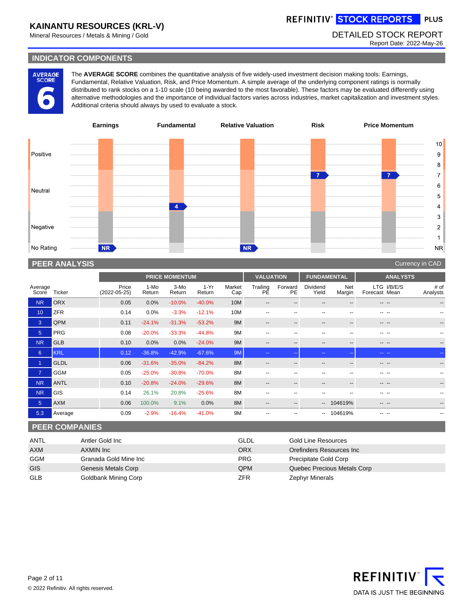# REFINITIV<sup>®</sup> STOCK REPORTS PLUS

Mineral Resources / Metals & Mining / Gold **DETAILED STOCK REPORT** 

Report Date: 2022-May-26

### **INDICATOR COMPONENTS**

AVERAGE<br>SCORE

The **AVERAGE SCORE** combines the quantitative analysis of five widely-used investment decision making tools: Earnings, Fundamental, Relative Valuation, Risk, and Price Momentum. A simple average of the underlying component ratings is normally distributed to rank stocks on a 1-10 scale (10 being awarded to the most favorable). These factors may be evaluated differently using alternative methodologies and the importance of individual factors varies across industries, market capitalization and investment styles. Additional criteria should always by used to evaluate a stock.



### **PEER ANALYSIS** Currency in CAD Analysis of the Currency in CAD Analysis of the Currency in CAD Analysis of the Currency in CAD Analysis of the Currency in CAD Analysis of the Currency in CAD Analysis of the Currency in CA

|                  |             |                             |                | <b>PRICE MOMENTUM</b> |                  |               | <b>VALUATION</b>         |                          | <b>FUNDAMENTAL</b> |                          |                                        | <b>ANALYSTS</b>  |
|------------------|-------------|-----------------------------|----------------|-----------------------|------------------|---------------|--------------------------|--------------------------|--------------------|--------------------------|----------------------------------------|------------------|
| Average<br>Score | Ticker      | Price<br>$(2022 - 05 - 25)$ | 1-Mo<br>Return | 3-Mo<br>Return        | $1-Yr$<br>Return | Market<br>Cap | Trailing<br>РĔ           | Forward<br>PE            | Dividend<br>Yield  | Net<br>Margin            | I/B/E/S<br><b>LTG</b><br>Forecast Mean | # of<br>Analysts |
| <b>NR</b>        | <b>ORX</b>  | 0.05                        | 0.0%           | $-10.0%$              | $-40.0%$         | 10M           | $\overline{\phantom{m}}$ | --                       | $- -$              | --                       | --<br>$-$                              | --               |
| 10               | <b>ZFR</b>  | 0.14                        | 0.0%           | $-3.3%$               | $-12.1%$         | 10M           | $- -$                    | --                       | --                 | --                       | --                                     | --               |
| $\mathbf{3}$     | QPM         | 0.11                        | $-24.1%$       | $-31.3%$              | $-53.2%$         | 9M            | $\qquad \qquad \cdots$   | $- -$                    | $- -$              | $\overline{\phantom{a}}$ | -- --                                  | --               |
| 5 <sup>1</sup>   | <b>PRG</b>  | 0.08                        | $-20.0%$       | $-33.3%$              | $-44.8%$         | 9M            | $\overline{\phantom{a}}$ | --                       | $- -$              | $\overline{\phantom{a}}$ | -- --                                  | --               |
| <b>NR</b>        | <b>GLB</b>  | 0.10                        | 0.0%           | 0.0%                  | $-24.0%$         | 9M            | $\qquad \qquad -$        | $- -$                    | $- -$              | $- -$                    | -- --                                  | $-$              |
| 6                | <b>KRL</b>  | 0.12                        | $-36.8%$       | $-42.9%$              | $-67.6%$         | 9M            | $\sim$ $-$               | --                       | $\sim$ $\sim$      | $\sim$ $\sim$            | -- --                                  | $\sim$ $\sim$    |
|                  | <b>GLDL</b> | 0.06                        | $-31.6%$       | $-35.0%$              | $-84.2%$         | 8M            | $\qquad \qquad -$        | $\overline{\phantom{a}}$ | $- -$              | $\overline{\phantom{a}}$ | -- --                                  | $- -$            |
| $\overline{7}$   | <b>GGM</b>  | 0.05                        | $-25.0%$       | $-30.8%$              | $-70.0%$         | 8M            | $\overline{\phantom{a}}$ | --                       | --                 | --                       | -- --                                  | --               |
| <b>NR</b>        | <b>ANTL</b> | 0.10                        | $-20.8%$       | $-24.0%$              | $-29.6%$         | 8M            | $- -$                    | $\overline{\phantom{a}}$ | $- -$              | $\overline{\phantom{a}}$ | -- --                                  | --               |
| <b>NR</b>        | <b>GIS</b>  | 0.14                        | 26.1%          | 20.8%                 | $-25.6%$         | 8M            | $- -$                    | --                       | --                 | --                       | -- --                                  | --               |
| 5 <sup>5</sup>   | <b>AXM</b>  | 0.06                        | 100.0%         | 9.1%                  | 0.0%             | 8M            | $- -$                    | $- -$                    | $- -$              | 104619%                  | --<br>$- -$                            | $- -$            |
| 5.3              | Average     | 0.09                        | $-2.9%$        | $-16.4%$              | $-41.0%$         | 9M            | $- -$                    |                          | $- -$              | 104619%                  | --                                     | --               |

### **PEER COMPANIES**

| ANTL       | Antler Gold Inc       | <b>GLDL</b> | Gold Line Resources         |
|------------|-----------------------|-------------|-----------------------------|
| <b>AXM</b> | AXMIN Inc             | <b>ORX</b>  | Orefinders Resources Inc    |
| GGM        | Granada Gold Mine Inc | <b>PRG</b>  | Precipitate Gold Corp       |
| <b>GIS</b> | Genesis Metals Corp   | <b>QPM</b>  | Quebec Precious Metals Corp |
| <b>GLB</b> | Goldbank Mining Corp  | ZFR         | <b>Zephyr Minerals</b>      |

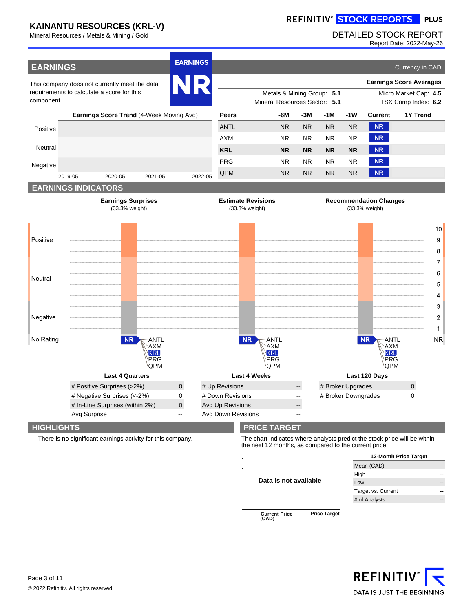ŕ

# REFINITIV<sup>®</sup> STOCK REPORTS PLUS

## Mineral Resources / Metals & Mining / Gold **DETAILED STOCK REPORT**

Report Date: 2022-May-26

| <b>EARNINGS</b>   |              |                                                                |                                         | <b>EARNINGS</b>            |                                        |                                                                                                             |                |                     |           |                     |                                                                    | Currency in CAD                |                         |
|-------------------|--------------|----------------------------------------------------------------|-----------------------------------------|----------------------------|----------------------------------------|-------------------------------------------------------------------------------------------------------------|----------------|---------------------|-----------|---------------------|--------------------------------------------------------------------|--------------------------------|-------------------------|
|                   |              | This company does not currently meet the data                  |                                         | NR                         |                                        |                                                                                                             |                |                     |           |                     |                                                                    | <b>Earnings Score Averages</b> |                         |
| component.        |              | requirements to calculate a score for this                     |                                         |                            |                                        | Metals & Mining Group: 5.1<br>Micro Market Cap: 4.5<br>Mineral Resources Sector: 5.1<br>TSX Comp Index: 6.2 |                |                     |           |                     |                                                                    |                                |                         |
|                   |              | Earnings Score Trend (4-Week Moving Avg)                       |                                         |                            | <b>Peers</b>                           |                                                                                                             | -6M            | -3M                 | -1M       | -1W                 | Current                                                            | <b>1Y Trend</b>                |                         |
| Positive          |              |                                                                |                                         |                            | <b>ANTL</b>                            |                                                                                                             | <b>NR</b>      | <b>NR</b>           | <b>NR</b> | <b>NR</b>           | <b>NR</b>                                                          |                                |                         |
|                   |              |                                                                |                                         |                            | <b>AXM</b>                             |                                                                                                             | <b>NR</b>      | <b>NR</b>           | <b>NR</b> | <b>NR</b>           | <b>NR</b>                                                          |                                |                         |
| Neutral           |              |                                                                |                                         |                            | <b>KRL</b>                             |                                                                                                             | <b>NR</b>      | <b>NR</b>           | <b>NR</b> | <b>NR</b>           | <b>NR</b>                                                          |                                |                         |
| Negative          |              |                                                                |                                         |                            | <b>PRG</b>                             |                                                                                                             | NR.            | <b>NR</b>           | <b>NR</b> | <b>NR</b>           | <b>NR</b>                                                          |                                |                         |
|                   | 2019-05      | 2020-05                                                        | 2021-05                                 | 2022-05                    | QPM                                    |                                                                                                             | N <sub>R</sub> | <b>NR</b>           | <b>NR</b> | <b>NR</b>           | <b>NR</b>                                                          |                                |                         |
|                   |              | <b>EARNINGS INDICATORS</b>                                     |                                         |                            |                                        |                                                                                                             |                |                     |           |                     |                                                                    |                                |                         |
|                   |              | <b>Earnings Surprises</b><br>(33.3% weight)                    |                                         |                            |                                        | <b>Estimate Revisions</b><br>(33.3% weight)                                                                 |                |                     |           |                     | <b>Recommendation Changes</b><br>(33.3% weight)                    |                                |                         |
|                   |              |                                                                |                                         |                            |                                        |                                                                                                             |                |                     |           |                     |                                                                    |                                | $10$                    |
| Positive          |              |                                                                |                                         |                            |                                        |                                                                                                             |                |                     |           |                     |                                                                    |                                | 9                       |
|                   |              |                                                                |                                         |                            |                                        |                                                                                                             |                |                     |           |                     |                                                                    |                                | 8                       |
|                   |              |                                                                |                                         |                            |                                        |                                                                                                             |                |                     |           |                     |                                                                    |                                | $\overline{7}$          |
| Neutral           |              |                                                                |                                         |                            |                                        |                                                                                                             |                |                     |           |                     |                                                                    |                                | 6                       |
|                   |              |                                                                |                                         |                            |                                        |                                                                                                             |                |                     |           |                     |                                                                    |                                | 5                       |
|                   |              |                                                                |                                         |                            |                                        |                                                                                                             |                |                     |           |                     |                                                                    |                                | 4                       |
|                   |              |                                                                |                                         |                            |                                        |                                                                                                             |                |                     |           |                     |                                                                    |                                | 3                       |
| Negative          |              |                                                                |                                         |                            |                                        |                                                                                                             |                |                     |           |                     |                                                                    |                                | $\overline{\mathbf{c}}$ |
|                   |              |                                                                |                                         |                            |                                        |                                                                                                             |                |                     |           |                     |                                                                    |                                | 1                       |
| No Rating         |              | <b>NR</b>                                                      | ANTL<br>AXM<br>KRL<br><b>PRG</b><br>QPM |                            |                                        | <b>NR</b><br>ANTL<br><b>AXM</b><br>KRL<br>PRG<br>QPM                                                        |                |                     |           |                     | <b>NR</b><br>ANTL<br><b>AXM</b><br>KRL<br><b>PRG</b><br><b>QPM</b> |                                | <b>NR</b>               |
|                   |              | <b>Last 4 Quarters</b>                                         |                                         |                            |                                        | <b>Last 4 Weeks</b>                                                                                         |                |                     |           |                     | Last 120 Days                                                      |                                |                         |
|                   |              | # Positive Surprises (>2%)                                     |                                         | $\mathsf{O}\xspace$        | # Up Revisions                         |                                                                                                             |                | --                  |           | # Broker Upgrades   |                                                                    | $\mathsf{O}$                   |                         |
|                   |              | # Negative Surprises (<-2%)<br># In-Line Surprises (within 2%) |                                         | $\mathbf 0$<br>$\mathbf 0$ | # Down Revisions                       |                                                                                                             |                | $\overline{a}$      |           | # Broker Downgrades |                                                                    | 0                              |                         |
|                   | Avg Surprise |                                                                |                                         | Ξ.                         | Avg Up Revisions<br>Avg Down Revisions |                                                                                                             |                | ÷<br>$\overline{a}$ |           |                     |                                                                    |                                |                         |
| <b>HIGHLIGHTS</b> |              |                                                                |                                         |                            |                                        | <b>PRICE TARGET</b>                                                                                         |                |                     |           |                     |                                                                    |                                |                         |

- There is no significant earnings activity for this company. The chart indicates where analysts predict the stock price will be within the next 12 months, as compared to the current price.

|                                                      | 12-Month Price Target |    |  |  |  |
|------------------------------------------------------|-----------------------|----|--|--|--|
|                                                      | Mean (CAD)            | -- |  |  |  |
|                                                      | High                  |    |  |  |  |
| Data is not available                                | Low                   | -- |  |  |  |
|                                                      | Target vs. Current    |    |  |  |  |
|                                                      | # of Analysts         | -- |  |  |  |
|                                                      |                       |    |  |  |  |
| <b>Price Target</b><br><b>Current Price</b><br>(CAD) |                       |    |  |  |  |

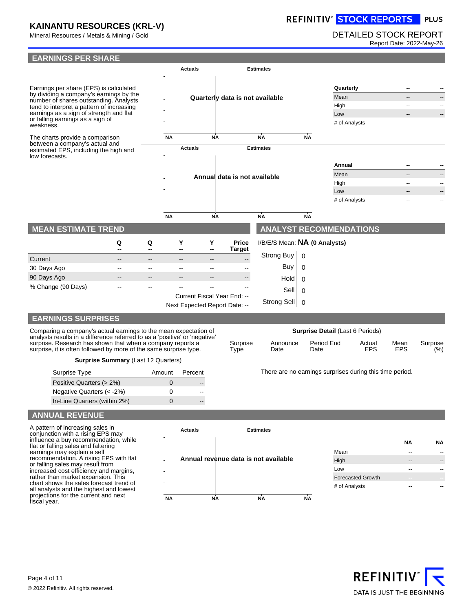# REFINITIV° STOCK REPORTS PLUS

# Mineral Resources / Metals & Mining / Gold DETAILED STOCK REPORT

Report Date: 2022-May-26



#### Comparing a company's actual earnings to the mean expectation of analysts results in a difference referred to as a 'positive' or 'negative' surprise. Research has shown that when a company reports a surprise, it is often followed by more of the same surprise type. Surprise Type

| <b>Surprise Summary (Last 12 Quarters)</b> |  |
|--------------------------------------------|--|
|--------------------------------------------|--|

| Surprise Type                | Amount            | Percent |
|------------------------------|-------------------|---------|
| Positive Quarters (> 2%)     | $\mathbf{\Omega}$ |         |
| Negative Quarters $(< -2\%)$ | 0                 |         |
| In-Line Quarters (within 2%) | $\mathbf{I}$      |         |

There are no earnings surprises during this time period.

Actual EPS

Mean EPS **Surprise** (%)

**NA NA**

Period End Date

### **ANNUAL REVENUE**

A pattern of increasing sales in conjunction with a rising EPS may influence a buy recommendation, while flat or falling sales and faltering earnings may explain a sell recommendation. A rising EPS with flat or falling sales may result from increased cost efficiency and margins, rather than market expansion. This chart shows the sales forecast trend of all analysts and the highest and lowest projections for the current and next fiscal year.



Announce Date

## Mean -- -- High -- -- Low -- -- Forecasted Growth -- --

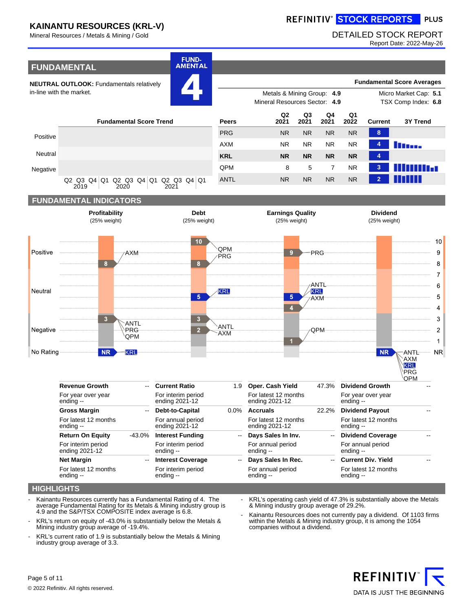## REFINITIV<sup>®</sup> STOCK REPORTS PLUS

### Mineral Resources / Metals & Mining / Gold DETAILED STOCK REPORT

Report Date: 2022-May-26



Q2 Q3 Q4 Q1 Q2 Q3 Q4 Q1 Q2 Q3 Q4 Q1 2021



### **HIGHLIGHTS**

- Kainantu Resources currently has a Fundamental Rating of 4. The average Fundamental Rating for its Metals & Mining industry group is 4.9 and the S&P/TSX COMPOSITE index average is 6.8.
- KRL's return on equity of -43.0% is substantially below the Metals & Mining industry group average of -19.4%.
- KRL's current ratio of 1.9 is substantially below the Metals & Mining industry group average of 3.3.

KRL's operating cash yield of 47.3% is substantially above the Metals & Mining industry group average of 29.2%.

Kainantu Resources does not currently pay a dividend. Of 1103 firms within the Metals & Mining industry group, it is among the 1054 companies without a dividend.

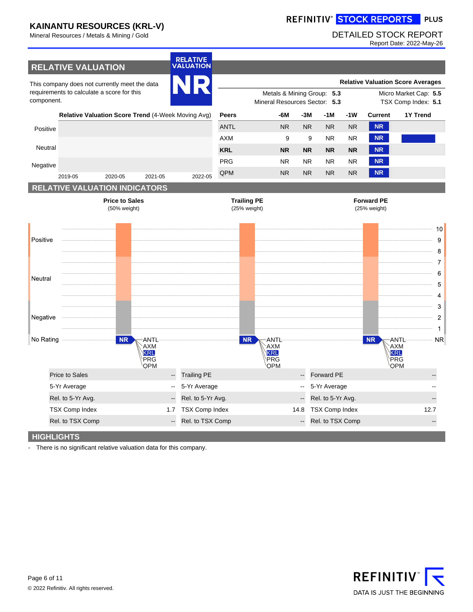# REFINITIV<sup>®</sup> STOCK REPORTS PLUS

## Mineral Resources / Metals & Mining / Gold DETAILED STOCK REPORT

Report Date: 2022-May-26



There is no significant relative valuation data for this company.

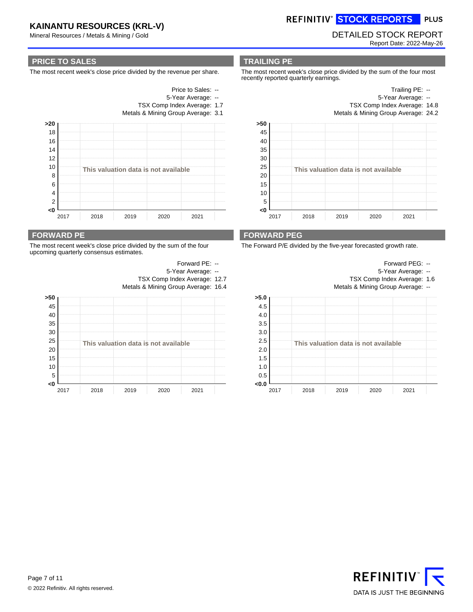Mineral Resources / Metals & Mining / Gold DETAILED STOCK REPORT

REFINITIV<sup>®</sup> STOCK REPORTS PLUS

Report Date: 2022-May-26

### **PRICE TO SALES**

The most recent week's close price divided by the revenue per share.

- Price to Sales: --
- 5-Year Average: --
- TSX Comp Index Average: 1.7
- Metals & Mining Group Average: 3.1



### **FORWARD PE**

The most recent week's close price divided by the sum of the four upcoming quarterly consensus estimates.

|     |      |                    |      |                                      | Forward PE: -- |  |  |  |  |
|-----|------|--------------------|------|--------------------------------------|----------------|--|--|--|--|
|     |      | 5-Year Average: -- |      |                                      |                |  |  |  |  |
|     |      |                    |      | TSX Comp Index Average: 12.7         |                |  |  |  |  |
|     |      |                    |      | Metals & Mining Group Average: 16.4  |                |  |  |  |  |
| >50 |      |                    |      |                                      |                |  |  |  |  |
| 45  |      |                    |      |                                      |                |  |  |  |  |
| 40  |      |                    |      |                                      |                |  |  |  |  |
| 35  |      |                    |      |                                      |                |  |  |  |  |
| 30  |      |                    |      |                                      |                |  |  |  |  |
| 25  |      |                    |      | This valuation data is not available |                |  |  |  |  |
| 20  |      |                    |      |                                      |                |  |  |  |  |
| 15  |      |                    |      |                                      |                |  |  |  |  |
| 10  |      |                    |      |                                      |                |  |  |  |  |
| 5   |      |                    |      |                                      |                |  |  |  |  |
| <0  |      |                    |      |                                      |                |  |  |  |  |
|     | 2017 | 2018               | 2019 | 2020                                 | 2021           |  |  |  |  |

**TRAILING PE**

The most recent week's close price divided by the sum of the four most recently reported quarterly earnings.

> Trailing PE: -- 5-Year Average: --



Metals & Mining Group Average: 24.2



### **FORWARD PEG**

The Forward P/E divided by the five-year forecasted growth rate.



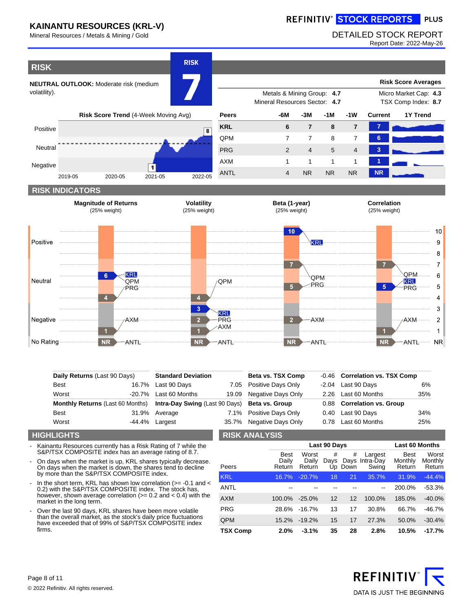#### REFINITIV<sup>®</sup> STOCK REPORTS PLUS

Mineral Resources / Metals & Mining / Gold DETAILED STOCK REPORT

Report Date: 2022-May-26



| No Rating   | <b>NR</b><br>ANTL            | $\overline{\mathsf{NR}}$  | -ANTL | <b>NR</b>          | ANTL  | NR<br><b>ANTL</b>              | <b>NR</b> |
|-------------|------------------------------|---------------------------|-------|--------------------|-------|--------------------------------|-----------|
|             | Daily Returns (Last 90 Days) | <b>Standard Deviation</b> |       | Beta vs. TSX Comp  |       | -0.46 Correlation vs. TSX Comp |           |
| <b>Best</b> | 16.7%                        | Last 90 Days              | 7.05  | Positive Days Only | -2.04 | Last 90 Days                   | 6%        |

PRG AXM

| Worst | $-20.7\%$ Last 60 Months                                                       | 19.09 Negative Days Only | 2.26 Last 60 Months        | 35% |
|-------|--------------------------------------------------------------------------------|--------------------------|----------------------------|-----|
|       | Monthly Returns (Last 60 Months) Intra-Day Swing (Last 90 Days) Beta vs. Group |                          | 0.88 Correlation vs. Group |     |
| Best  | 31.9% Average                                                                  | 7.1% Positive Days Only  | 0.40 Last 90 Days          | 34% |
| Worst | $-44.4\%$ Largest                                                              | 35.7% Negative Days Only | 0.78 Last 60 Months        | 25% |

### **HIGHLIGHTS**

Negative

Kainantu Resources currently has a Risk Rating of 7 while the S&P/TSX COMPOSITE index has an average rating of 8.7.

AXM

- On days when the market is up, KRL shares typically decrease. On days when the market is down, the shares tend to decline by more than the S&P/TSX COMPOSITE index.
- In the short term, KRL has shown low correlation (>= -0.1 and < 0.2) with the S&P/TSX COMPOSITE index. The stock has, however, shown average correlation (>= 0.2 and < 0.4) with the market in the long term.
- Over the last 90 days, KRL shares have been more volatile than the overall market, as the stock's daily price fluctuations have exceeded that of 99% of S&P/TSX COMPOSITE index firms.

### **RISK ANALYSIS**

|                 |                                | Last 90 Days             |           | <b>Last 60 Months</b> |                                    |                                  |                            |
|-----------------|--------------------------------|--------------------------|-----------|-----------------------|------------------------------------|----------------------------------|----------------------------|
| Peers           | <b>Best</b><br>Dailv<br>Return | Worst<br>Daily<br>Return | #<br>Days | #<br>Up Down          | Largest<br>Days Intra-Day<br>Swing | <b>Best</b><br>Monthly<br>Return | Worst<br>Monthly<br>Return |
| <b>KRL</b>      | 16.7%                          | $-20.7%$                 | 18        | 21                    | 35.7%                              | 31.9%                            | $-44.4%$                   |
| ANTL            |                                |                          |           |                       | $-$                                | 200.0%                           | $-53.3%$                   |
| <b>AXM</b>      | $100.0\%$                      | $-25.0%$                 | 12        | 12                    | 100.0%                             | 185.0%                           | $-40.0%$                   |
| <b>PRG</b>      | 28.6%                          | $-16.7%$                 | 13        | 17                    | 30.8%                              | 66.7%                            | -46.7%                     |
| QPM             | 15.2%                          | $-19.2%$                 | 15        | 17                    | 27.3%                              | 50.0%                            | $-30.4%$                   |
| <b>TSX Comp</b> | 2.0%                           | $-3.1%$                  | 35        | 28                    | 2.8%                               | 10.5%                            | $-17.7%$                   |

AXM

 $\overline{2}$ 



AXM

 $\overline{2}$  $\overline{1}$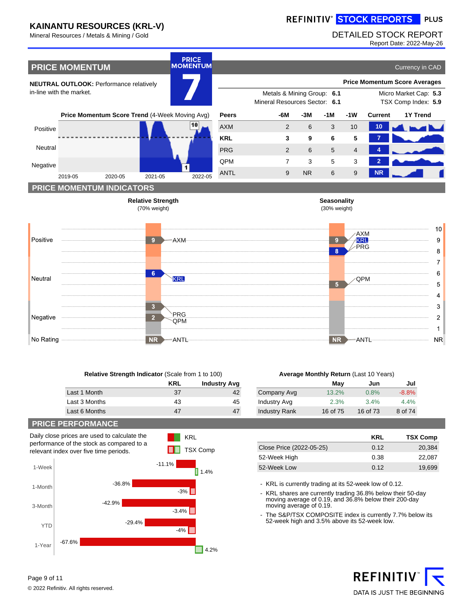#### REFINITIV<sup>®</sup> STOCK REPORTS PLUS

### Mineral Resources / Metals & Mining / Gold DETAILED STOCK REPORT

Report Date: 2022-May-26



| <b>Relative Strength Indicator (Scale from 1 to 100)</b> |            |                     |  |  |  |  |  |  |
|----------------------------------------------------------|------------|---------------------|--|--|--|--|--|--|
|                                                          | <b>KRL</b> | <b>Industry Avg</b> |  |  |  |  |  |  |
| Last 1 Month                                             | 37         |                     |  |  |  |  |  |  |
| Last 3 Months                                            | 43         | 45                  |  |  |  |  |  |  |
| Last 6 Months                                            |            |                     |  |  |  |  |  |  |

KRL

### **Average Monthly Return** (Last 10 Years)

|                      | May      | Jun      | Jul     |
|----------------------|----------|----------|---------|
| Company Avg          | 13.2%    | 0.8%     | $-8.8%$ |
| Industry Avg         | 2.3%     | 3.4%     | 4.4%    |
| <b>Industry Rank</b> | 16 of 75 | 16 of 73 | 8 of 74 |

### **PRICE PERFORMANCE**

Daily close prices are used to calculate the performance of the stock as compared to a relevant index over five time periods.



|                          | KRL  | <b>TSX Comp</b> |
|--------------------------|------|-----------------|
| Close Price (2022-05-25) | 0.12 | 20.384          |
| 52-Week High             | 0.38 | 22.087          |
| 52-Week Low              | 0.12 | 19.699          |

- KRL is currently trading at its 52-week low of 0.12.

- KRL shares are currently trading 36.8% below their 50-day moving average of 0.19, and 36.8% below their 200-day moving average of 0.19.
- The S&P/TSX COMPOSITE index is currently 7.7% below its 52-week high and 3.5% above its 52-week low.

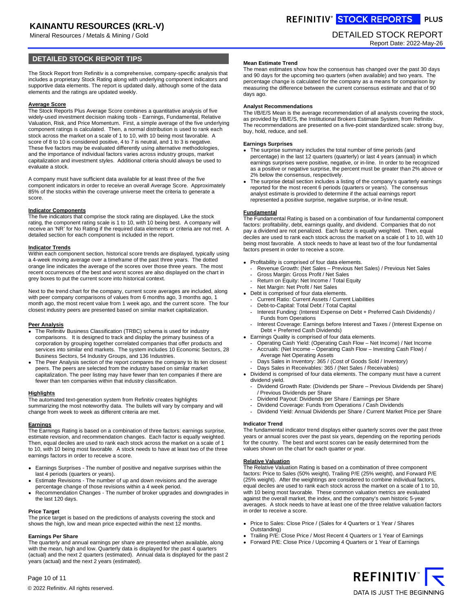Mineral Resources / Metals & Mining / Gold DETAILED STOCK REPORT

### **DETAILED STOCK REPORT TIPS**

The Stock Report from Refinitiv is a comprehensive, company-specific analysis that includes a proprietary Stock Rating along with underlying component indicators and supportive data elements. The report is updated daily, although some of the data elements and the ratings are updated weekly.

#### **Average Score**

The Stock Reports Plus Average Score combines a quantitative analysis of five widely-used investment decision making tools - Earnings, Fundamental, Relative Valuation, Risk, and Price Momentum. First, a simple average of the five underlying component ratings is calculated. Then, a normal distribution is used to rank each stock across the market on a scale of 1 to 10, with 10 being most favorable. A score of 8 to 10 is considered positive, 4 to 7 is neutral, and 1 to 3 is negative. These five factors may be evaluated differently using alternative methodologies, and the importance of individual factors varies across industry groups, market capitalization and investment styles. Additional criteria should always be used to evaluate a stock.

A company must have sufficient data available for at least three of the five component indicators in order to receive an overall Average Score. Approximately 85% of the stocks within the coverage universe meet the criteria to generate a score.

#### **Indicator Components**

The five indicators that comprise the stock rating are displayed. Like the stock rating, the component rating scale is 1 to 10, with 10 being best. A company will receive an 'NR' for No Rating if the required data elements or criteria are not met. A detailed section for each component is included in the report.

### **Indicator Trends**

Within each component section, historical score trends are displayed, typically using a 4-week moving average over a timeframe of the past three years. The dotted orange line indicates the average of the scores over those three years. The most recent occurrences of the best and worst scores are also displayed on the chart in grey boxes to put the current score into historical context.

Next to the trend chart for the company, current score averages are included, along with peer company comparisons of values from 6 months ago, 3 months ago, 1 month ago, the most recent value from 1 week ago, and the current score. The four closest industry peers are presented based on similar market capitalization.

#### **Peer Analysis**

- The Refinitiv Business Classification (TRBC) schema is used for industry comparisons. It is designed to track and display the primary business of a corporation by grouping together correlated companies that offer products and services into similar end markets. The system includes 10 Economic Sectors, 28 Business Sectors, 54 Industry Groups, and 136 Industries.
- The Peer Analysis section of the report compares the company to its ten closest peers. The peers are selected from the industry based on similar market capitalization. The peer listing may have fewer than ten companies if there are fewer than ten companies within that industry classification.

#### **Highlights**

The automated text-generation system from Refinitiv creates highlights summarizing the most noteworthy data. The bullets will vary by company and will change from week to week as different criteria are met.

**Earnings** The Earnings Rating is based on a combination of three factors: earnings surprise, estimate revision, and recommendation changes. Each factor is equally weighted. Then, equal deciles are used to rank each stock across the market on a scale of 1 to 10, with 10 being most favorable. A stock needs to have at least two of the three earnings factors in order to receive a score.

Earnings Surprises - The number of positive and negative surprises within the last 4 periods (quarters or years).

Estimate Revisions - The number of up and down revisions and the average percentage change of those revisions within a 4 week period.

Recommendation Changes - The number of broker upgrades and downgrades in the last 120 days.

#### **Price Target**

The price target is based on the predictions of analysts covering the stock and shows the high, low and mean price expected within the next 12 months.

### **Earnings Per Share**

Page 10 of 11

The quarterly and annual earnings per share are presented when available, along with the mean, high and low. Quarterly data is displayed for the past 4 quarters (actual) and the next 2 quarters (estimated). Annual data is displayed for the past 2 years (actual) and the next 2 years (estimated).

REFINITIV<sup>®</sup> STOCK REPORTS PLUS

Report Date: 2022-May-26

#### **Mean Estimate Trend**

The mean estimates show how the consensus has changed over the past 30 days and 90 days for the upcoming two quarters (when available) and two years. The percentage change is calculated for the company as a means for comparison by measuring the difference between the current consensus estimate and that of 90 days ago.

#### **Analyst Recommendations**

The I/B/E/S Mean is the average recommendation of all analysts covering the stock, as provided by I/B/E/S, the Institutional Brokers Estimate System, from Refinitiv. The recommendations are presented on a five-point standardized scale: strong buy, buy, hold, reduce, and sell.

#### **Earnings Surprises**

The surprise summary includes the total number of time periods (and percentage) in the last 12 quarters (quarterly) or last 4 years (annual) in which earnings surprises were positive, negative, or in-line. In order to be recognized as a positive or negative surprise, the percent must be greater than 2% above or 2% below the consensus, respectively.

The surprise detail section includes a listing of the company's quarterly earnings reported for the most recent 6 periods (quarters or years). The consensus analyst estimate is provided to determine if the actual earnings report represented a positive surprise, negative surprise, or in-line result.

#### **Fundamental**

The Fundamental Rating is based on a combination of four fundamental component factors: profitability, debt, earnings quality, and dividend. Companies that do not pay a dividend are not penalized. Each factor is equally weighted. Then, equal deciles are used to rank each stock across the market on a scale of 1 to 10, with 10 being most favorable. A stock needs to have at least two of the four fundamental factors present in order to receive a score.

Profitability is comprised of four data elements.

- Revenue Growth: (Net Sales Previous Net Sales) / Previous Net Sales
- Gross Margin: Gross Profit / Net Sales
- Return on Equity: Net Income / Total Equity
- Net Margin: Net Profit / Net Sales
- Debt is comprised of four data elements.
- Current Ratio: Current Assets / Current Liabilities
- Debt-to-Capital: Total Debt / Total Capital
- Interest Funding: (Interest Expense on Debt + Preferred Cash Dividends) / Funds from Operations
- Interest Coverage: Earnings before Interest and Taxes / (Interest Expense on Debt + Preferred Cash Dividends)
- Earnings Quality is comprised of four data elements.
- Operating Cash Yield: (Operating Cash Flow Net Income) / Net Income **-** Accruals: (Net Income – Operating Cash Flow – Investing Cash Flow) /
- Average Net Operating Assets Days Sales in Inventory: 365 / (Cost of Goods Sold / Inventory)
- Days Sales in Receivables: 365 / (Net Sales / Receivables)

Dividend is comprised of four data elements. The company must have a current dividend yield.

- Dividend Growth Rate: (Dividends per Share Previous Dividends per Share) / Previous Dividends per Share
- Dividend Payout: Dividends per Share / Earnings per Share
- Dividend Coverage: Funds from Operations / Cash Dividends
- Dividend Yield: Annual Dividends per Share / Current Market Price per Share

#### **Indicator Trend**

The fundamental indicator trend displays either quarterly scores over the past three years or annual scores over the past six years, depending on the reporting periods for the country. The best and worst scores can be easily determined from the values shown on the chart for each quarter or year.

#### **Relative Valuation**

The Relative Valuation Rating is based on a combination of three component factors: Price to Sales (50% weight), Trailing P/E (25% weight), and Forward P/E (25% weight). After the weightings are considered to combine individual factors, equal deciles are used to rank each stock across the market on a scale of 1 to 10, with 10 being most favorable. These common valuation metrics are evaluated against the overall market, the index, and the company's own historic 5-year averages. A stock needs to have at least one of the three relative valuation factors in order to receive a score.

Price to Sales: Close Price / (Sales for 4 Quarters or 1 Year / Shares Outstanding)

Trailing P/E: Close Price / Most Recent 4 Quarters or 1 Year of Earnings Forward P/E: Close Price / Upcoming 4 Quarters or 1 Year of Earnings



© 2022 Refinitiv. All rights reserved.